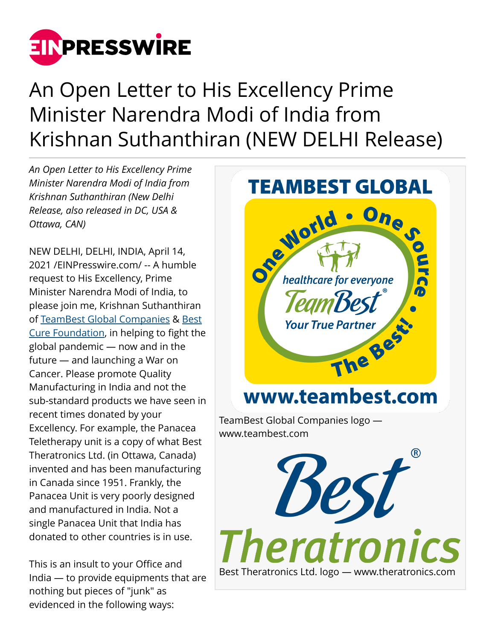

## An Open Letter to His Excellency Prime Minister Narendra Modi of India from Krishnan Suthanthiran (NEW DELHI Release)

*An Open Letter to His Excellency Prime Minister Narendra Modi of India from Krishnan Suthanthiran (New Delhi Release, also released in DC, USA & Ottawa, CAN)*

NEW DELHI, DELHI, INDIA, April 14, 2021 /[EINPresswire.com](http://www.einpresswire.com)/ -- A humble request to His Excellency, Prime Minister Narendra Modi of India, to please join me, Krishnan Suthanthiran of [TeamBest Global Companies](http://www.teambest.com) & [Best](http://www.bestcure.md) [Cure Foundation](http://www.bestcure.md), in helping to fight the global pandemic — now and in the future — and launching a War on Cancer. Please promote Quality Manufacturing in India and not the sub-standard products we have seen in recent times donated by your Excellency. For example, the Panacea Teletherapy unit is a copy of what Best Theratronics Ltd. (in Ottawa, Canada) invented and has been manufacturing in Canada since 1951. Frankly, the Panacea Unit is very poorly designed and manufactured in India. Not a single Panacea Unit that India has donated to other countries is in use.

This is an insult to your Office and India — to provide equipments that are nothing but pieces of "junk" as evidenced in the following ways:

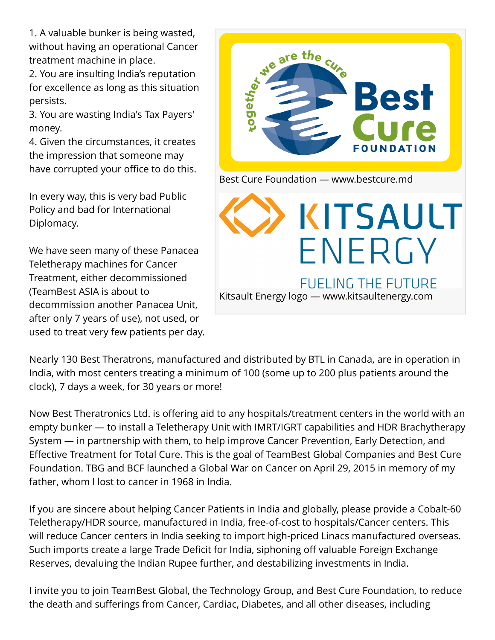1. A valuable bunker is being wasted, without having an operational Cancer treatment machine in place.

2. You are insulting India's reputation for excellence as long as this situation persists.

3. You are wasting India's Tax Payers' money.

4. Given the circumstances, it creates the impression that someone may have corrupted your office to do this.

In every way, this is very bad Public Policy and bad for International Diplomacy.

We have seen many of these Panacea Teletherapy machines for Cancer Treatment, either decommissioned (TeamBest ASIA is about to decommission another Panacea Unit, after only 7 years of use), not used, or used to treat very few patients per day.



Nearly 130 Best Theratrons, manufactured and distributed by BTL in Canada, are in operation in India, with most centers treating a minimum of 100 (some up to 200 plus patients around the clock), 7 days a week, for 30 years or more!

Now Best Theratronics Ltd. is offering aid to any hospitals/treatment centers in the world with an empty bunker — to install a Teletherapy Unit with IMRT/IGRT capabilities and HDR Brachytherapy System — in partnership with them, to help improve Cancer Prevention, Early Detection, and Effective Treatment for Total Cure. This is the goal of TeamBest Global Companies and Best Cure Foundation. TBG and BCF launched a Global War on Cancer on April 29, 2015 in memory of my father, whom I lost to cancer in 1968 in India.

If you are sincere about helping Cancer Patients in India and globally, please provide a Cobalt-60 Teletherapy/HDR source, manufactured in India, free-of-cost to hospitals/Cancer centers. This will reduce Cancer centers in India seeking to import high-priced Linacs manufactured overseas. Such imports create a large Trade Deficit for India, siphoning off valuable Foreign Exchange Reserves, devaluing the Indian Rupee further, and destabilizing investments in India.

I invite you to join TeamBest Global, the Technology Group, and Best Cure Foundation, to reduce the death and sufferings from Cancer, Cardiac, Diabetes, and all other diseases, including